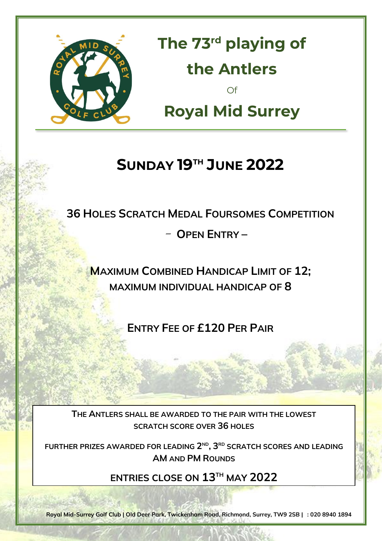

**The 73 rd playing of the Antlers** Of **Royal Mid Surrey**

### **SUNDAY 19TH JUNE 2022**

**36 HOLES SCRATCH MEDAL FOURSOMES COMPETITION**

- **OPEN ENTRY –**

**MAXIMUM COMBINED HANDICAP LIMIT OF 12; MAXIMUM INDIVIDUAL HANDICAP OF 8**

**ENTRY FEE OF £120 PER PAIR**

**The Antlers SCRATCH SCORE OVER 36 HOLES THE ANTLERS SHALL BE AWARDED TO THE PAIR WITH THE LOWEST** 

FURTHER PRIZES AWARDED FOR LEADING 2ND, 3RD SCRATCH SCORES AND LEADING **Royal Mid Surrey AM AND PM ROUNDS**

**ENTRIES CLOSE ON 13 TH MAY 2022**

VISIT **[www.rmsgc.co.uk](http://www.rmsgc.co.uk/)** FOR ENTRY FORMS

**Royal Mid-Surrey Golf Club | Old Deer Park, Twickenham Road, Richmond, Surrey, TW9 2SB | T: 020 8940 1894**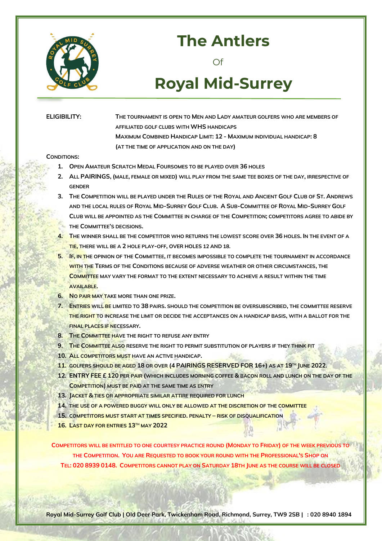

### **The Antlers**

Of

## **Royal Mid-Surrey**

**ELIGIBILITY: THE TOURNAMENT IS OPEN TO MEN AND LADY AMATEUR GOLFERS WHO ARE MEMBERS OF AFFILIATED GOLF CLUBS WITH WHS HANDICAPS MAXIMUM COMBINED HANDICAP LIMIT: 12 - MAXIMUM INDIVIDUAL HANDICAP: 8 (AT THE TIME OF APPLICATION AND ON THE DAY)**

### **CONDITIONS:**

- **1. OPEN AMATEUR SCRATCH MEDAL FOURSOMES TO BE PLAYED OVER 36 HOLES**
- **2. ALL PAIRINGS, (MALE, FEMALE OR MIXED) WILL PLAY FROM THE SAME TEE BOXES OF THE DAY, IRRESPECTIVE OF GENDER**
- 3. THE COMPETITION WILL BE PLAYED UNDER THE RULES OF THE ROYAL AND ANCIENT GOLF CLUB OF ST. ANDREWS AND THE LOCAL RULES OF ROYAL MID-SURREY GOLF CLUB. A SUB-COMMITTEE OF ROYAL MID-SURREY GOLF **CLUB WILL BE APPOINTED AS THE COMMITTEE IN CHARGE OF THE COMPETITION; COMPETITORS AGREE TO ABIDE BY THE COMMITTEE'S DECISIONS.**
- **4. THE WINNER SHALL BE THE COMPETITOR WHO RETURNS THE LOWEST SCORE OVER 36 HOLES. IN THE EVENT OF A TIE, THERE WILL BE A 2 HOLE PLAY-OFF, OVER HOLES 12 AND 18.**
- **5. IF, IN THE OPINION OF THE COMMITTEE, IT BECOMES IMPOSSIBLE TO COMPLETE THE TOURNAMENT IN ACCORDANCE WITH THE TERMS OF THE CONDITIONS BECAUSE OF ADVERSE WEATHER OR OTHER CIRCUMSTANCES, THE COMMITTEE MAY VARY THE FORMAT TO THE EXTENT NECESSARY TO ACHIEVE A RESULT WITHIN THE TIME AVAILABLE.**
- **6. NO PAIR MAY TAKE MORE THAN ONE PRIZE.**
- **7. ENTRIES WILL BE LIMITED TO 38 PAIRS. SHOULD THE COMPETITION BE OVERSUBSCRIBED, THE COMMITTEE RESERVE THE RIGHT TO INCREASE THE LIMIT OR DECIDE THE ACCEPTANCES ON A HANDICAP BASIS, WITH A BALLOT FOR THE FINAL PLACES IF NECESSARY.**
- **8. THE COMMITTEE HAVE THE RIGHT TO REFUSE ANY ENTRY**
- **9. THE COMMITTEE ALSO RESERVE THE RIGHT TO PERMIT SUBSTITUTION OF PLAYERS IF THEY THINK FIT**
- **10. ALL COMPETITORS MUST HAVE AN ACTIVE HANDICAP.**
- **11. GOLFERS SHOULD BE AGED 18 OR OVER (4 PAIRINGS RESERVED FOR 16+) AS AT 19TH JUNE 2022.**
- **12. ENTRY FEE £ 120 PER PAIR (WHICH INCLUDES MORNING COFFEE & BACON ROLL AND LUNCH ON THE DAY OF THE COMPETITION) MUST BE PAID AT THE SAME TIME AS ENTRY**
- **13. JACKET & TIES OR APPROPRIATE SIMILAR ATTIRE REQUIRED FOR LUNCH**
- **14. THE USE OF A POWERED BUGGY WILL ONLY BE ALLOWED AT THE DISCRETION OF THE COMMITTEE**
- **15. COMPETITORS MUST START AT TIMES SPECIFIED. PENALTY – RISK OF DISQUALIFICATION**
- **16. LAST DAY FOR ENTRIES 13 TH MAY 2022**

**COMPETITORS WILL BE ENTITLED TO ONE COURTESY PRACTICE ROUND (MONDAY TO FRIDAY) OF THE WEEK PREVIOUS TO THE COMPETITION. YOU ARE REQUESTED TO BOOK YOUR ROUND WITH THE PROFESSIONAL'S SHOP ON TEL: 020 8939 0148. COMPETITORS CANNOT PLAY ON SATURDAY 18TH JUNE AS THE COURSE WILL BE CLOSED**

**Royal Mid-Surrey Golf Club | Old Deer Park, Twickenham Road, Richmond, Surrey, TW9 2SB | T: 020 8940 1894**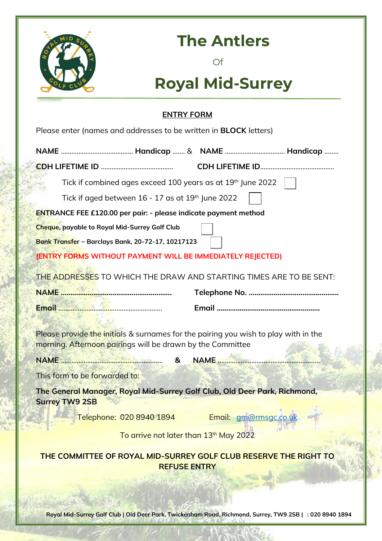

### **The Antlers**

Of

# **Royal Mid-Surrey**

### **ENTRY FORM**

| Please enter (names and addresses to be written in <b>BLOCK</b> letters) |  |
|--------------------------------------------------------------------------|--|
|--------------------------------------------------------------------------|--|

|                                                                                                                                                   | Tick if combined ages exceed 100 years as at 19th June 2022 |  |  |  |  |  |  |  |
|---------------------------------------------------------------------------------------------------------------------------------------------------|-------------------------------------------------------------|--|--|--|--|--|--|--|
| Tick if aged between 16 - 17 as at 19th June 2022                                                                                                 |                                                             |  |  |  |  |  |  |  |
| <b>ENTRANCE FEE £120.00 per pair: - please indicate payment method</b>                                                                            |                                                             |  |  |  |  |  |  |  |
| <b>Cheque, payable to Royal Mid-Surrey Golf Club</b>                                                                                              |                                                             |  |  |  |  |  |  |  |
| Bank Transfer - Barclays Bank, 20-72-17, 10217123                                                                                                 |                                                             |  |  |  |  |  |  |  |
| (ENTRY FORMS WITHOUT PAYMENT WILL BE IMMEDIATELY REJECTED)                                                                                        |                                                             |  |  |  |  |  |  |  |
| THE ADDRESSES TO WHICH THE DRAW AND STARTING TIMES ARE TO BE SENT:                                                                                |                                                             |  |  |  |  |  |  |  |
|                                                                                                                                                   |                                                             |  |  |  |  |  |  |  |
|                                                                                                                                                   |                                                             |  |  |  |  |  |  |  |
| Please provide the initials & surnames for the pairing you wish to play with in the<br>morning. Afternoon pairings will be drawn by the Committee |                                                             |  |  |  |  |  |  |  |
| NAME 32 NAME 2012 12:30 NAME 3                                                                                                                    |                                                             |  |  |  |  |  |  |  |
| This form to be forwarded to:                                                                                                                     |                                                             |  |  |  |  |  |  |  |
| The General Manager, Royal Mid-Surrey Golf Club, Old Deer Park, Richmond,<br><b>Surrey TW9 2SB</b>                                                |                                                             |  |  |  |  |  |  |  |
| Telephone: 020 8940 1894                                                                                                                          | Email: gm@rmsgc.co.uk                                       |  |  |  |  |  |  |  |
| To arrive not later than 13th May 2022                                                                                                            |                                                             |  |  |  |  |  |  |  |
| THE COMMITTEE OF ROYAL MID-SURREY GOLF CLUB RESERVE THE RIGHT TO<br><b>REFUSE ENTRY</b>                                                           |                                                             |  |  |  |  |  |  |  |
|                                                                                                                                                   |                                                             |  |  |  |  |  |  |  |

**Royal Mid-Surrey Golf Club | Old Deer Park, Twickenham Road, Richmond, Surrey, TW9 2SB | T: 020 8940 1894**

議者で